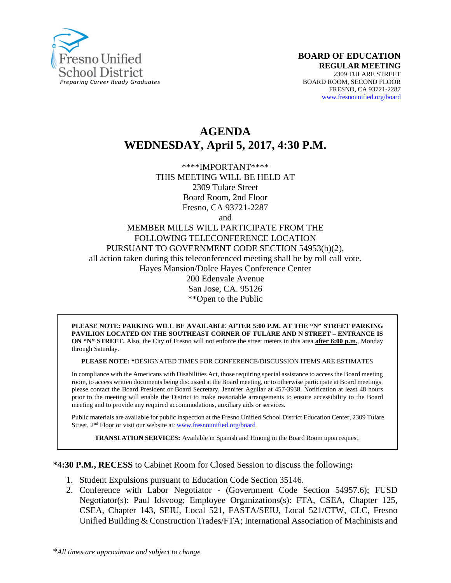

# **AGENDA WEDNESDAY, April 5, 2017, 4:30 P.M.**

\*\*\*\*IMPORTANT\*\*\*\* THIS MEETING WILL BE HELD AT 2309 Tulare Street Board Room, 2nd Floor Fresno, CA 93721-2287

and

#### MEMBER MILLS WILL PARTICIPATE FROM THE FOLLOWING TELECONFERENCE LOCATION PURSUANT TO GOVERNMENT CODE SECTION 54953(b)(2), all action taken during this teleconferenced meeting shall be by roll call vote. Hayes Mansion/Dolce Hayes Conference Center 200 Edenvale Avenue San Jose, CA. 95126 \*\*Open to the Public

#### **PLEASE NOTE: PARKING WILL BE AVAILABLE AFTER 5:00 P.M. AT THE "N" STREET PARKING PAVILION LOCATED ON THE SOUTHEAST CORNER OF TULARE AND N STREET – ENTRANCE IS ON "N" STREET.** Also, the City of Fresno will not enforce the street meters in this area **after 6:00 p.m.**, Monday through Saturday.

**PLEASE NOTE: \***DESIGNATED TIMES FOR CONFERENCE/DISCUSSION ITEMS ARE ESTIMATES

In compliance with the Americans with Disabilities Act, those requiring special assistance to access the Board meeting room, to access written documents being discussed at the Board meeting, or to otherwise participate at Board meetings, please contact the Board President or Board Secretary, Jennifer Aguilar at 457-3938. Notification at least 48 hours prior to the meeting will enable the District to make reasonable arrangements to ensure accessibility to the Board meeting and to provide any required accommodations, auxiliary aids or services.

Public materials are available for public inspection at the Fresno Unified School District Education Center, 2309 Tulare Street, 2nd Floor or visit our website at: [www.fresnounified.org/board](http://www.fresnounified.org/board)

**TRANSLATION SERVICES:** Available in Spanish and Hmong in the Board Room upon request.

**\*4:30 P.M., RECESS** to Cabinet Room for Closed Session to discuss the following**:**

- 1. Student Expulsions pursuant to Education Code Section 35146.
- 2. Conference with Labor Negotiator (Government Code Section 54957.6); FUSD Negotiator(s): Paul Idsvoog; Employee Organizations(s): FTA, CSEA, Chapter 125, CSEA, Chapter 143, SEIU, Local 521, FASTA/SEIU, Local 521/CTW, CLC, Fresno Unified Building & Construction Trades/FTA; International Association of Machinists and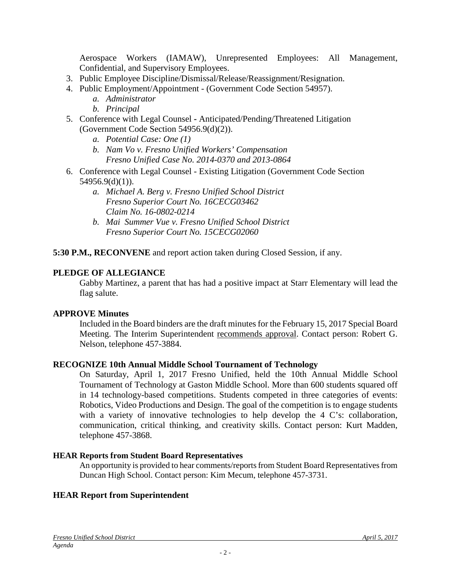Aerospace Workers (IAMAW), Unrepresented Employees: All Management, Confidential, and Supervisory Employees.

- 3. Public Employee Discipline/Dismissal/Release/Reassignment/Resignation.
- 4. Public Employment/Appointment (Government Code Section 54957).
	- *a. Administrator*
	- *b. Principal*
- 5. Conference with Legal Counsel **-** Anticipated/Pending/Threatened Litigation (Government Code Section 54956.9(d)(2)).
	- *a. Potential Case: One (1)*
	- *b. Nam Vo v. Fresno Unified Workers' Compensation Fresno Unified Case No. 2014-0370 and 2013-0864*
- 6. Conference with Legal Counsel Existing Litigation (Government Code Section 54956.9(d)(1)).
	- *a. Michael A. Berg v. Fresno Unified School District Fresno Superior Court No. 16CECG03462 Claim No. 16-0802-0214*
	- *b. Mai Summer Vue v. Fresno Unified School District Fresno Superior Court No. 15CECG02060*

**5:30 P.M., RECONVENE** and report action taken during Closed Session, if any.

### **PLEDGE OF ALLEGIANCE**

Gabby Martinez, a parent that has had a positive impact at Starr Elementary will lead the flag salute.

#### **APPROVE Minutes**

Included in the Board binders are the draft minutes for the February 15, 2017 Special Board Meeting. The Interim Superintendent recommends approval. Contact person: Robert G. Nelson, telephone 457-3884.

#### **RECOGNIZE 10th Annual Middle School Tournament of Technology**

On Saturday, April 1, 2017 Fresno Unified, held the 10th Annual Middle School Tournament of Technology at Gaston Middle School. More than 600 students squared off in 14 technology-based competitions. Students competed in three categories of events: Robotics, Video Productions and Design. The goal of the competition is to engage students with a variety of innovative technologies to help develop the 4 C's: collaboration, communication, critical thinking, and creativity skills. Contact person: Kurt Madden, telephone 457-3868.

#### **HEAR Reports from Student Board Representatives**

An opportunity is provided to hear comments/reports from Student Board Representatives from Duncan High School. Contact person: Kim Mecum, telephone 457-3731.

#### **HEAR Report from Superintendent**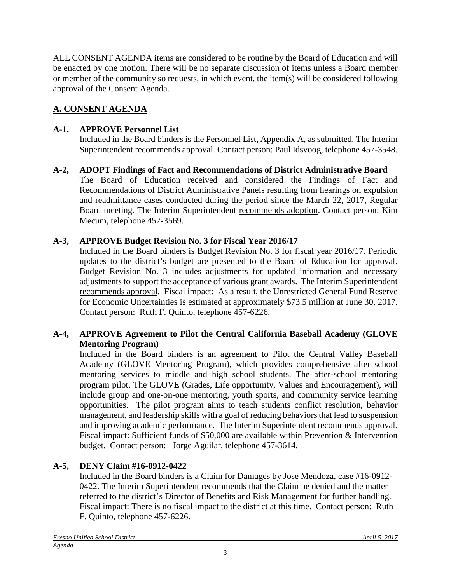ALL CONSENT AGENDA items are considered to be routine by the Board of Education and will be enacted by one motion. There will be no separate discussion of items unless a Board member or member of the community so requests, in which event, the item(s) will be considered following approval of the Consent Agenda.

# **A. CONSENT AGENDA**

# **A-1, APPROVE Personnel List**

Included in the Board binders is the Personnel List, Appendix A, as submitted. The Interim Superintendent recommends approval. Contact person: Paul Idsvoog, telephone 457-3548.

**A-2, ADOPT Findings of Fact and Recommendations of District Administrative Board** The Board of Education received and considered the Findings of Fact and Recommendations of District Administrative Panels resulting from hearings on expulsion and readmittance cases conducted during the period since the March 22, 2017, Regular Board meeting. The Interim Superintendent recommends adoption. Contact person: Kim Mecum, telephone 457-3569.

# **A-3, APPROVE Budget Revision No. 3 for Fiscal Year 2016/17**

Included in the Board binders is Budget Revision No. 3 for fiscal year 2016/17. Periodic updates to the district's budget are presented to the Board of Education for approval. Budget Revision No. 3 includes adjustments for updated information and necessary adjustments to support the acceptance of various grant awards. The Interim Superintendent recommends approval. Fiscal impact: As a result, the Unrestricted General Fund Reserve for Economic Uncertainties is estimated at approximately \$73.5 million at June 30, 2017. Contact person: Ruth F. Quinto, telephone 457-6226.

## **A-4, APPROVE Agreement to Pilot the Central California Baseball Academy (GLOVE Mentoring Program)**

Included in the Board binders is an agreement to Pilot the Central Valley Baseball Academy (GLOVE Mentoring Program), which provides comprehensive after school mentoring services to middle and high school students. The after-school mentoring program pilot, The GLOVE (Grades, Life opportunity, Values and Encouragement), will include group and one-on-one mentoring, youth sports, and community service learning opportunities. The pilot program aims to teach students conflict resolution, behavior management, and leadership skills with a goal of reducing behaviors that lead to suspension and improving academic performance. The Interim Superintendent recommends approval. Fiscal impact: Sufficient funds of \$50,000 are available within Prevention & Intervention budget. Contact person: Jorge Aguilar, telephone 457-3614.

# **A-5, DENY Claim #16-0912-0422**

Included in the Board binders is a Claim for Damages by Jose Mendoza, case #16-0912- 0422. The Interim Superintendent recommends that the Claim be denied and the matter referred to the district's Director of Benefits and Risk Management for further handling. Fiscal impact: There is no fiscal impact to the district at this time. Contact person: Ruth F. Quinto, telephone 457-6226.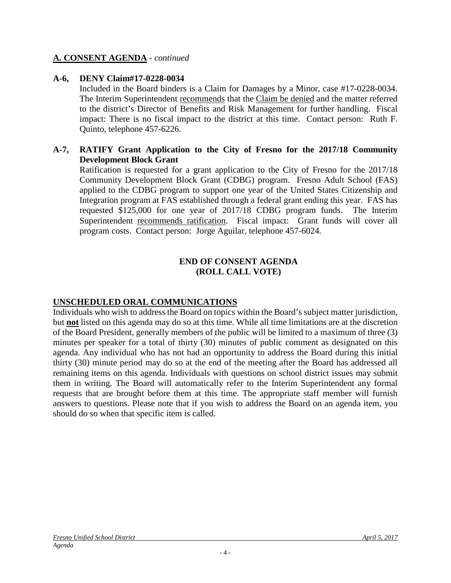#### **A. CONSENT AGENDA** - *continued*

#### **A-6, DENY Claim#17-0228-0034**

Included in the Board binders is a Claim for Damages by a Minor, case #17-0228-0034. The Interim Superintendent recommends that the Claim be denied and the matter referred to the district's Director of Benefits and Risk Management for further handling. Fiscal impact: There is no fiscal impact to the district at this time. Contact person: Ruth F. Quinto, telephone 457-6226.

#### **A-7, RATIFY Grant Application to the City of Fresno for the 2017/18 Community Development Block Grant**

Ratification is requested for a grant application to the City of Fresno for the 2017/18 Community Development Block Grant (CDBG) program. Fresno Adult School (FAS) applied to the CDBG program to support one year of the United States Citizenship and Integration program at FAS established through a federal grant ending this year. FAS has requested \$125,000 for one year of 2017/18 CDBG program funds. The Interim Superintendent recommends ratification. Fiscal impact: Grant funds will cover all program costs. Contact person: Jorge Aguilar, telephone 457-6024.

#### **END OF CONSENT AGENDA (ROLL CALL VOTE)**

### **UNSCHEDULED ORAL COMMUNICATIONS**

Individuals who wish to address the Board on topics within the Board's subject matter jurisdiction, but **not** listed on this agenda may do so at this time. While all time limitations are at the discretion of the Board President, generally members of the public will be limited to a maximum of three (3) minutes per speaker for a total of thirty (30) minutes of public comment as designated on this agenda. Any individual who has not had an opportunity to address the Board during this initial thirty (30) minute period may do so at the end of the meeting after the Board has addressed all remaining items on this agenda. Individuals with questions on school district issues may submit them in writing. The Board will automatically refer to the Interim Superintendent any formal requests that are brought before them at this time. The appropriate staff member will furnish answers to questions. Please note that if you wish to address the Board on an agenda item, you should do so when that specific item is called.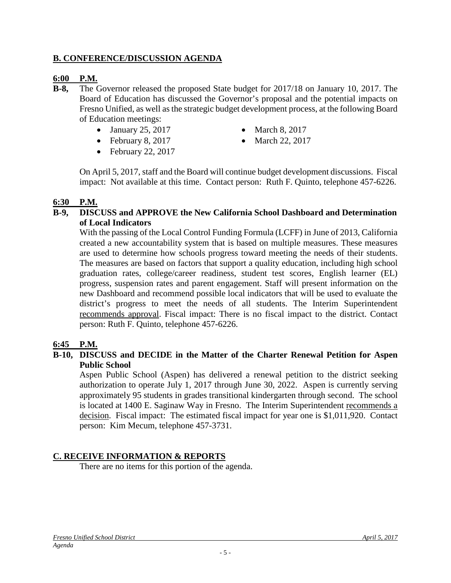### **B. CONFERENCE/DISCUSSION AGENDA**

#### **6:00 P.M.**

- **B-8,** The Governor released the proposed State budget for 2017/18 on January 10, 2017. The Board of Education has discussed the Governor's proposal and the potential impacts on Fresno Unified, as well as the strategic budget development process, at the following Board of Education meetings:
	- January 25, 2017 March 8, 2017
	- February 8, 2017 March 22, 2017
- -

• February 22, 2017

On April 5, 2017, staff and the Board will continue budget development discussions. Fiscal impact: Not available at this time. Contact person: Ruth F. Quinto, telephone 457-6226.

#### **6:30 P.M.**

#### **B-9, DISCUSS and APPROVE the New California School Dashboard and Determination of Local Indicators**

With the passing of the Local Control Funding Formula (LCFF) in June of 2013, California created a new accountability system that is based on multiple measures. These measures are used to determine how schools progress toward meeting the needs of their students. The measures are based on factors that support a quality education, including high school graduation rates, college/career readiness, student test scores, English learner (EL) progress, suspension rates and parent engagement. Staff will present information on the new Dashboard and recommend possible local indicators that will be used to evaluate the district's progress to meet the needs of all students. The Interim Superintendent recommends approval. Fiscal impact: There is no fiscal impact to the district. Contact person: Ruth F. Quinto, telephone 457-6226.

#### **6:45 P.M.**

#### **B-10, DISCUSS and DECIDE in the Matter of the Charter Renewal Petition for Aspen Public School**

Aspen Public School (Aspen) has delivered a renewal petition to the district seeking authorization to operate July 1, 2017 through June 30, 2022. Aspen is currently serving approximately 95 students in grades transitional kindergarten through second. The school is located at 1400 E. Saginaw Way in Fresno. The Interim Superintendent recommends a decision. Fiscal impact: The estimated fiscal impact for year one is \$1,011,920. Contact person: Kim Mecum, telephone 457-3731.

### **C. RECEIVE INFORMATION & REPORTS**

There are no items for this portion of the agenda.